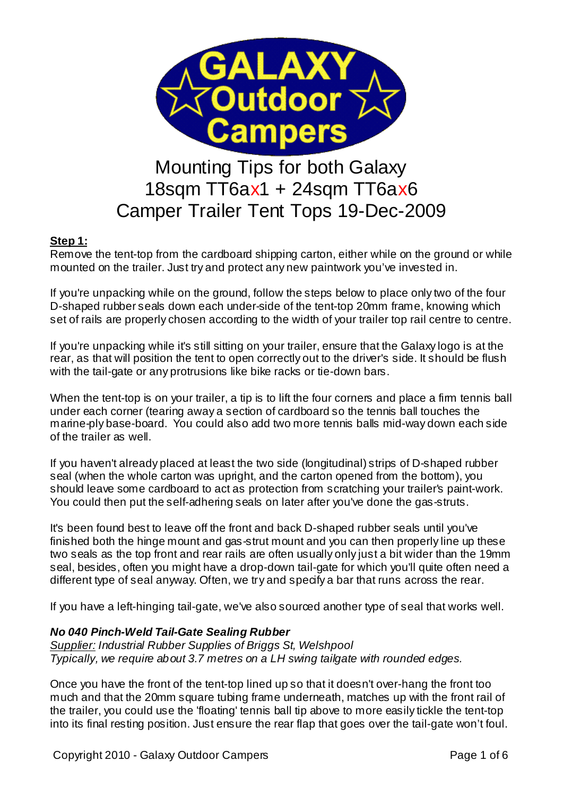

# 18sqm TT6ax1 + 24sqm TT6ax6 Camper Trailer Tent Tops 19-Dec-2009

### **Step 1:**

Remove the tent-top from the cardboard shipping carton, either while on the ground or while mounted on the trailer. Just try and protect any new paintwork you've invested in.

If you're unpacking while on the ground, follow the steps below to place only two of the four D-shaped rubber seals down each under-side of the tent-top 20mm frame, knowing which set of rails are properly chosen according to the width of your trailer top rail centre to centre.

If you're unpacking while it's still sitting on your trailer, ensure that the Galaxy logo is at the rear, as that will position the tent to open correctly out to the driver's side. It should be flush with the tail-gate or any protrusions like bike racks or tie-down bars.

When the tent-top is on your trailer, a tip is to lift the four corners and place a firm tennis ball under each corner (tearing away a section of cardboard so the tennis ball touches the marine-ply base-board. You could also add two more tennis balls mid-way down each side of the trailer as well.

If you haven't already placed at least the two side (longitudinal) strips of D-shaped rubber seal (when the whole carton was upright, and the carton opened from the bottom), you should leave some cardboard to act as protection from scratching your trailer's paint-work. You could then put the self-adhering seals on later after you've done the gas-struts.

It's been found best to leave off the front and back D-shaped rubber seals until you've finished both the hinge mount and gas-strut mount and you can then properly line up these two seals as the top front and rear rails are often usually only just a bit wider than the 19mm seal, besides, often you might have a drop-down tail-gate for which you'll quite often need a different type of seal anyway. Often, we try and specify a bar that runs across the rear.

If you have a left-hinging tail-gate, we've also sourced another type of seal that works well.

#### *No 040 Pinch-Weld Tail-Gate Sealing Rubber*

*Supplier: Industrial Rubber Supplies of Briggs St, Welshpool Typically, we require about 3.7 metres on a LH swing tailgate with rounded edges.*

Once you have the front of the tent-top lined up so that it doesn't over-hang the front too much and that the 20mm square tubing frame underneath, matches up with the front rail of the trailer, you could use the 'floating' tennis ball tip above to more easily tickle the tent-top into its final resting position. Just ensure the rear flap that goes over the tail-gate won't foul.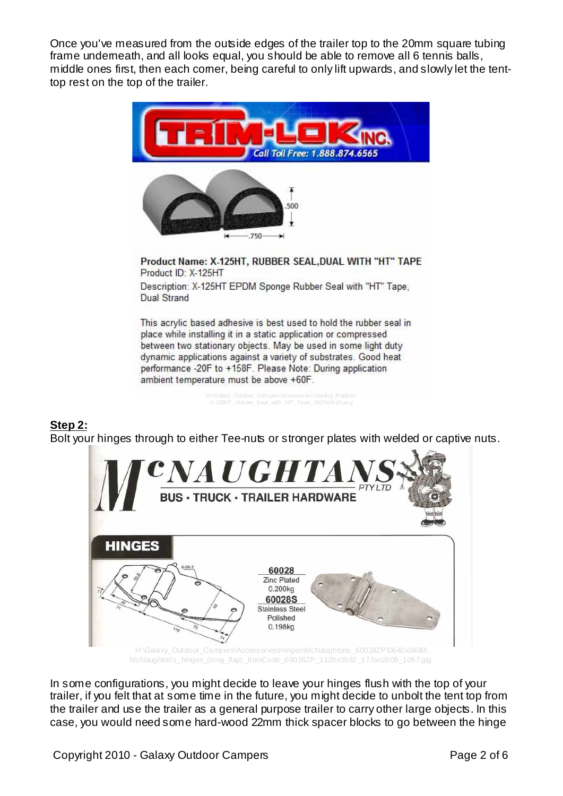Once you've measured from the outside edges of the trailer top to the 20mm square tubing frame underneath, and all looks equal, you should be able to remove all 6 tennis balls. middle ones first, then each comer, being careful to only lift upwards, and slowly let the tenttop rest on the top of the trailer.



Product ID: X-125HT Description: X-125HT EPDM Sponge Rubber Seal with "HT" Tape, **Dual Strand** 

This acrylic based adhesive is best used to hold the rubber seal in place while installing it in a static application or compressed between two stationary objects. May be used in some light duty dynamic applications against a variety of substrates. Good heat performance -20F to +158F. Please Note: During application ambient temperature must be above +60F.

> *H:\Galaxy\_Outdoor \_Cam pers\Accessor ies\Sealing\_Rubber\ X-125HT\_Rubber\_S eal\_with\_'HT'\_Tape\_0420x0410.png*

## **Step 2:**

Bolt your hinges through to either Tee-nuts or stronger plates with welded or captive nuts.



McNaughton's\_hinges\_(long\_flap) \_ItemCode\_60028ZP\_1128x0592\_17Jan2009\_1057.jpg

In some configurations, you might decide to leave your hinges flush with the top of your trailer, if you felt that at some time in the future, you might decide to unbolt the tent top from the trailer and use the trailer as a general purpose trailer to carry other large objects. In this case, you would need some hard-wood 22mm thick spacer blocks to go between the hinge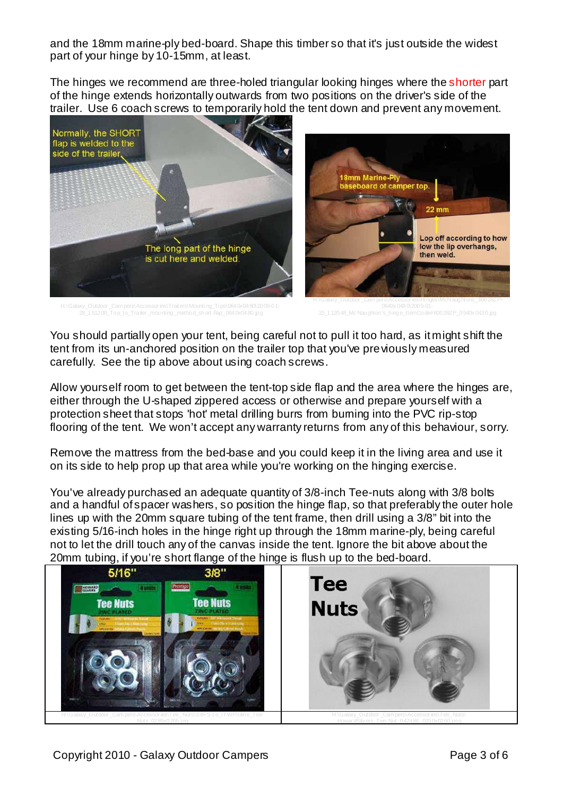and the 18mm marine-ply bed-board. Shape this timber so that it's just outside the widest part of your hinge by 10-15mm, at least.

The hinges we recommend are three-holed triangular looking hinges where the shorter part of the hinge extends horizontally outwards from two positions on the driver's side of the trailer. Use 6 coach screws to temporarily hold the tent down and prevent any movement.



H:\Galaxy\_Outdoor \_Cam pers\Accessor ies\Trailers\Mounting\_Tips\0640x0480\2009-01-

You should partially open your tent, being careful not to pull it too hard, as it might shift the tent from its un-anchored position on the trailer top that you've previously measured carefully. See the tip above about using coach screws.

Allow yourself room to get between the tent-top side flap and the area where the hinges are, either through the U-shaped zippered access or otherwise and prepare yourself with a protection sheet that stops 'hot' metal drilling burrs from burning into the PVC rip-stop flooring of the tent. We won't accept any warranty returns from any of this behaviour, sorry.

Remove the mattress from the bed-base and you could keep it in the living area and use it on its side to help prop up that area while you're working on the hinging exercise.

You've already purchased an adequate quantity of 3/8-inch Tee-nuts along with 3/8 bolts and a handful of spacer washers, so position the hinge flap, so that preferably the outer hole lines up with the 20mm square tubing of the tent frame, then drill using a 3/8" bit into the existing 5/16-inch holes in the hinge right up through the 18mm marine-ply, being careful not to let the drill touch any of the canvas inside the tent. Ignore the bit above about the 20mm tubing, if you're short flange of the hinge is flush up to the bed-board.

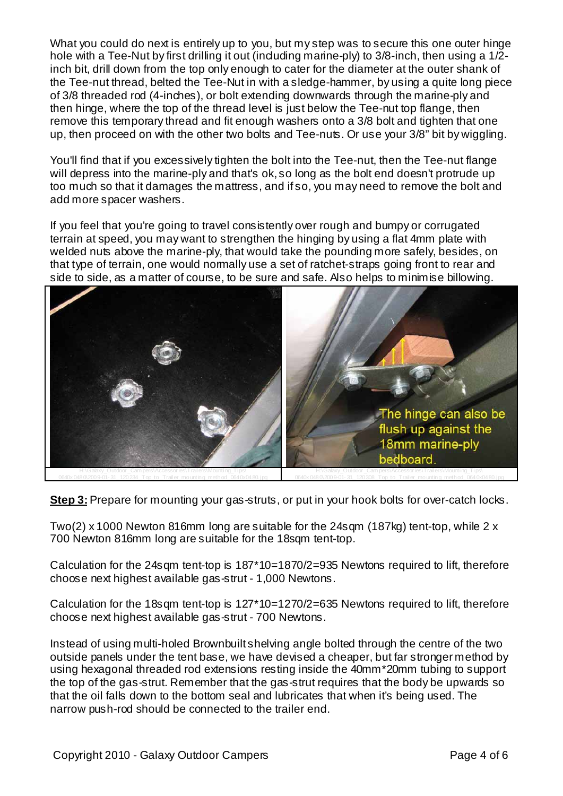What you could do next is entirely up to you, but my step was to secure this one outer hinge hole with a Tee-Nut by first drilling it out (induding marine-ply) to 3/8-inch, then using a 1/2inch bit, drill down from the top only enough to cater for the diameter at the outer shank of the Tee-nut thread, belted the Tee-Nut in with a sledge-hammer, by using a quite long piece of 3/8 threaded rod (4-inches), or bolt extending downwards through the marine-ply and then hinge, where the top of the thread level is just below the Tee-nut top flange, then remove this temporary thread and fit enough washers onto a 3/8 bolt and tighten that one up, then proceed on with the other two bolts and Tee-nuts. Or use your 3/8" bit by wiggling.

You'll find that if you excessively tighten the bolt into the Tee-nut, then the Tee-nut flange will depress into the marine-ply and that's ok, so long as the bolt end doesn't protrude up too much so that it damages the mattress, and if so, you may need to remove the bolt and add more spacer washers.

If you feel that you're going to travel consistently over rough and bumpy or corrugated terrain at speed, you may want to strengthen the hinging by using a flat 4mm plate with welded nuts above the marine-ply, that would take the pounding more safely, besides, on that type of terrain, one would normally use a set of ratchet-straps going front to rear and side to side, as a matter of course, to be sure and safe. Also helps to minimise billowing.



**Step 3:** Prepare for mounting your gas-struts, or put in your hook bolts for over-catch locks.

Two(2) x 1000 Newton 816mm long are suitable for the 24sqm (187kg) tent-top, while 2 x 700 Newton 816mm long are suitable for the 18sqm tent-top.

Calculation for the 24sqm tent-top is 187\*10=1870/2=935 Newtons required to lift, therefore choose next highest available gas-strut - 1,000 Newtons.

Calculation for the 18sqm tent-top is 127\*10=1270/2=635 Newtons required to lift, therefore choose next highest available gas-strut - 700 Newtons.

Instead of using multi-holed Brownbuilt shelving angle bolted through the centre of the two outside panels under the tent base, we have devised a cheaper, but far stronger method by using hexagonal threaded rod extensions resting inside the 40mm\*20mm tubing to support the top of the gas-strut. Remember that the gas-strut requires that the body be upwards so that the oil falls down to the bottom seal and lubricates that when it's being used. The narrow push-rod should be connected to the trailer end.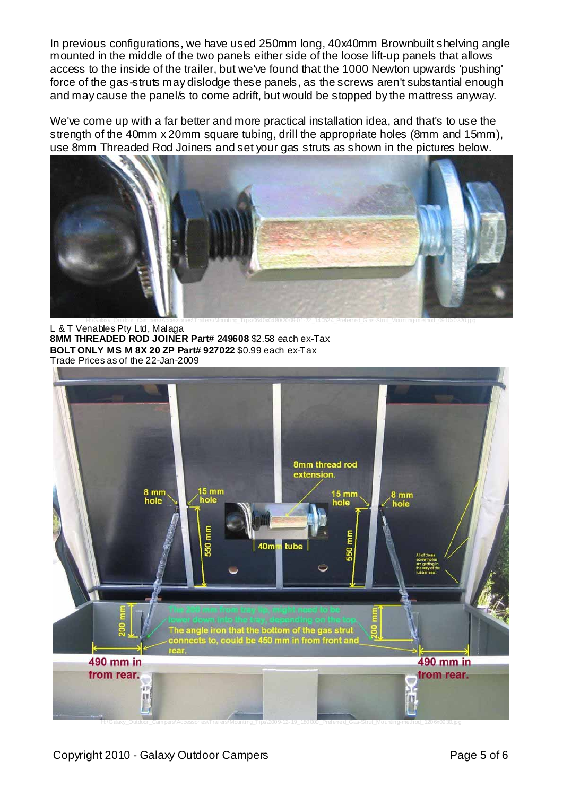In previous configurations, we have used 250mm long, 40x40mm Brownbuilt shelving angle mounted in the middle of the two panels either side of the loose lift-up panels that allows access to the inside of the trailer, but we've found that the 1000 Newton upwards 'pushing' force of the gas-struts may dislodge these panels, as the screws aren't substantial enough and may cause the panel/s to come adrift, but would be stopped by the mattress anyway.

We've come up with a far better and more practical installation idea, and that's to use the strength of the 40mm x 20mm square tubing, drill the appropriate holes (8mm and 15mm), use 8mm Threaded Rod Joiners and set your gas struts as shown in the pictures below.



L & T Venables Pty Ltd, Malaga **8MM THREADED ROD JOINER Part# 249608** \$2.58 each ex-Tax **BOLT ONLY MS M 8X 20 ZP Part# 927022** \$0.99 each ex-Tax Trade Prices as of the 22-Jan-2009